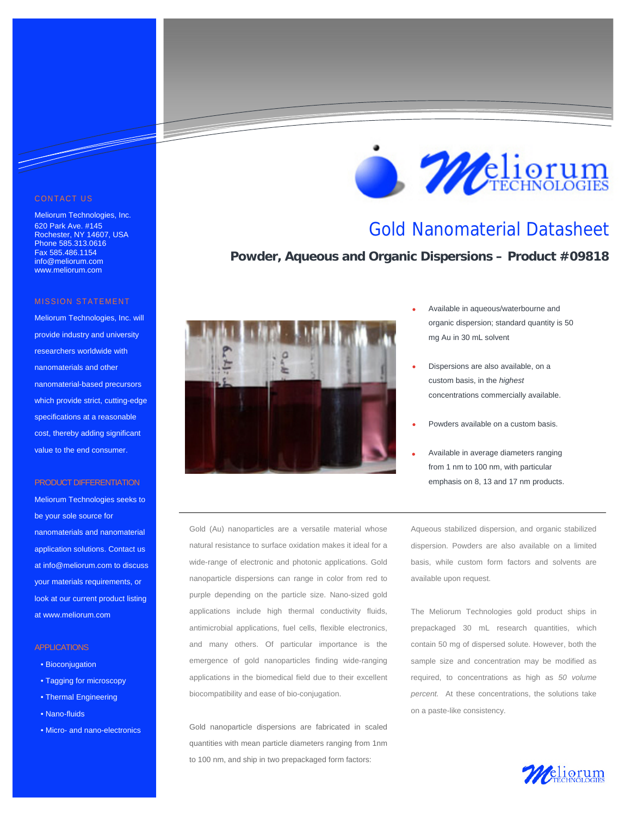#### CONTACT US

<u>Santa Contra de Contra de Contra de Contra de Contra de Contra de Contra de Contra de Contra de Contra de Con</u>

Meliorum Technologies, Inc. 620 Park Ave. #145 Rochester, NY 14607, USA Phone 585.313.0616 Fax 585.486.1154 info@meliorum.com www.meliorum.com

#### MISSION STATEMENT

Meliorum Technologies, Inc. will provide industry and university researchers worldwide with nanomaterials and other nanomaterial-based precursors which provide strict, cutting-edge specifications at a reasonable cost, thereby adding significant value to the end consumer.

#### PRODUCT DIFFERENTIATION

Meliorum Technologies seeks to be your sole source for nanomaterials and nanomaterial application solutions. Contact us at info@meliorum.com to discuss your materials requirements, or look at our current product listing at www.meliorum.com

#### APPLICATIONS

- Bioconjugation
- Tagging for microscopy
- Thermal Engineering
- Nano-fluids
- Micro- and nano-electronics



Gold nanoparticle dispersions are fabricated in scaled quantities with mean particle diameters ranging from 1nm to 100 nm, and ship in two prepackaged form factors:

*Meliorum* 

### Gold Nanomaterial Datasheet

**Powder, Aqueous and Organic Dispersions – Product #09818**



- Available in aqueous/waterbourne and organic dispersion; standard quantity is 50 mg Au in 30 mL solvent
- Dispersions are also available, on a custom basis, in the *highest*  concentrations commercially available.
- Powders available on a custom basis.
- Available in average diameters ranging from 1 nm to 100 nm, with particular emphasis on 8, 13 and 17 nm products.

Aqueous stabilized dispersion, and organic stabilized dispersion. Powders are also available on a limited basis, while custom form factors and solvents are available upon request.

The Meliorum Technologies gold product ships in prepackaged 30 mL research quantities, which contain 50 mg of dispersed solute. However, both the sample size and concentration may be modified as required, to concentrations as high as *50 volume percent.* At these concentrations, the solutions take on a paste-like consistency.